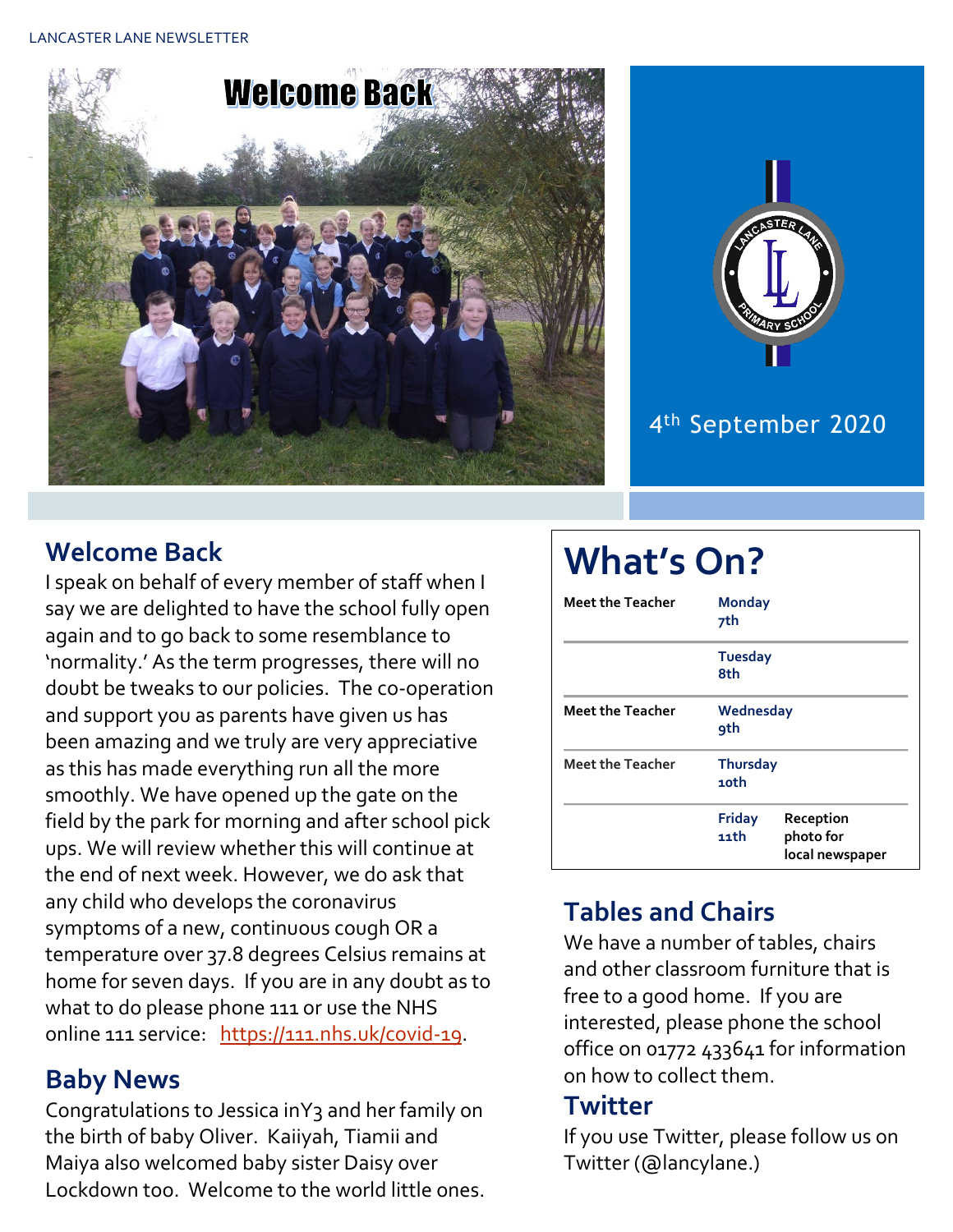LANCASTER LANE NEWSLETTER





## 4 th September 2020

## **Welcome Back**

I speak on behalf of every member of staff when I say we are delighted to have the school fully open again and to go back to some resemblance to 'normality.' As the term progresses, there will no doubt be tweaks to our policies. The co-operation and support you as parents have given us has been amazing and we truly are very appreciative as this has made everything run all the more smoothly. We have opened up the gate on the field by the park for morning and after school pick ups. We will review whether this will continue at the end of next week. However, we do ask that any child who develops the coronavirus symptoms of a new, continuous cough OR a temperature over 37.8 degrees Celsius remains at home for seven days. If you are in any doubt as to what to do please phone 111 or use the NHS online 111 service: [https://111.nhs.uk/covid-19.](https://111.nhs.uk/covid-19)

### **Baby News**

Congratulations to Jessica inY3 and her family on the birth of baby Oliver. Kaiiyah, Tiamii and Maiya also welcomed baby sister Daisy over Lockdown too. Welcome to the world little ones.

# **What's On?**

| Meet the Teacher        | <b>Monday</b><br>7th    |                                           |  |  |
|-------------------------|-------------------------|-------------------------------------------|--|--|
|                         | <b>Tuesday</b><br>8th   |                                           |  |  |
| <b>Meet the Teacher</b> | Wednesday<br><b>9th</b> |                                           |  |  |
| <b>Meet the Teacher</b> | <b>Thursday</b><br>10th |                                           |  |  |
|                         | <b>Friday</b><br>11th   | Reception<br>photo for<br>local newspaper |  |  |

# **Tables and Chairs**

We have a number of tables, chairs and other classroom furniture that is free to a good home. If you are interested, please phone the school office on 01772 433641 for information on how to collect them.

#### **Twitter**

If you use Twitter, please follow us on Twitter (@lancylane.)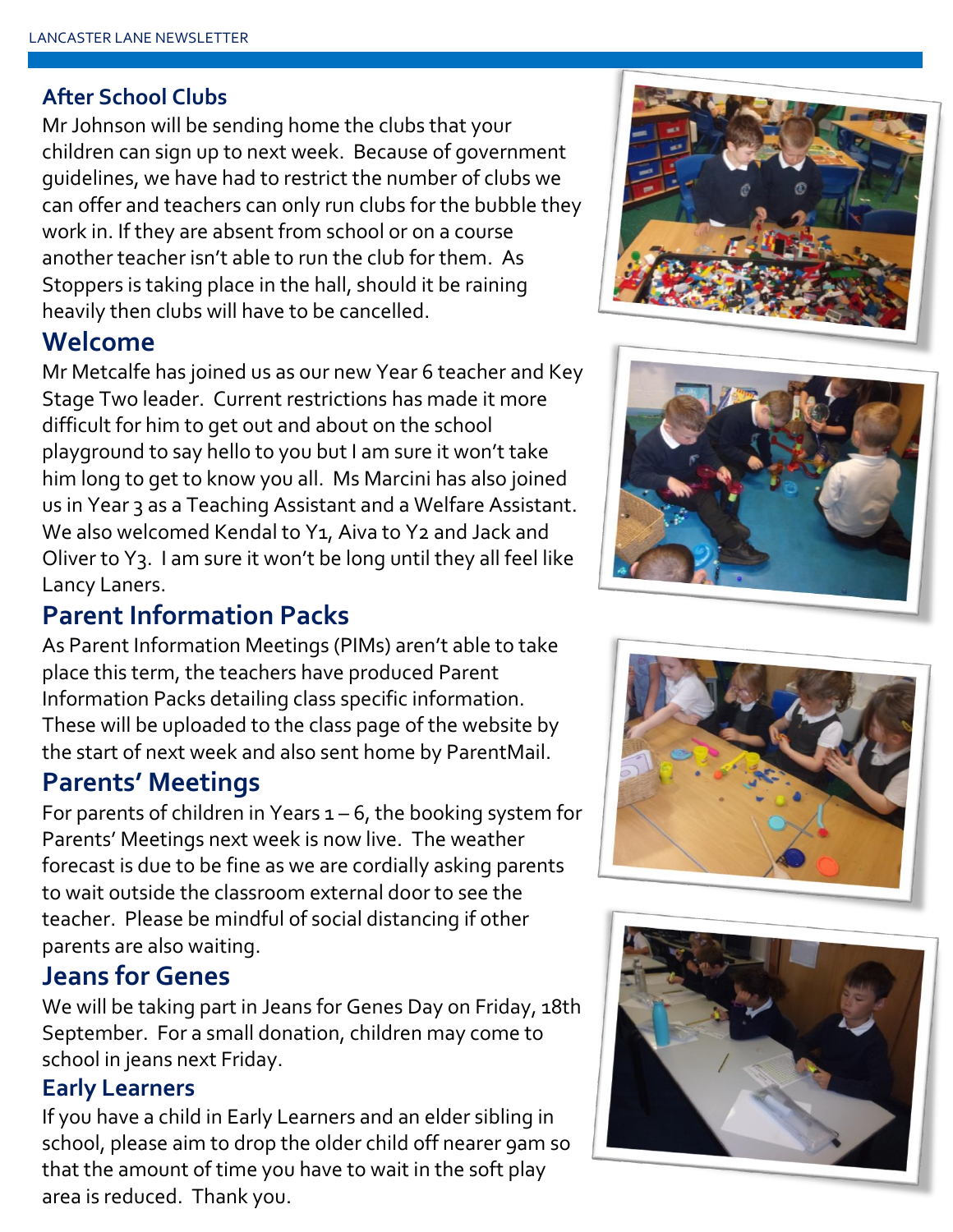#### **After School Clubs**

Mr Johnson will be sending home the clubs that your children can sign up to next week. Because of government guidelines, we have had to restrict the number of clubs we can offer and teachers can only run clubs for the bubble they work in. If they are absent from school or on a course another teacher isn't able to run the club for them. As Stoppers is taking place in the hall, should it be raining heavily then clubs will have to be cancelled.

#### **Welcome**

Mr Metcalfe has joined us as our new Year 6 teacher and Key Stage Two leader. Current restrictions has made it more difficult for him to get out and about on the school playground to say hello to you but I am sure it won't take him long to get to know you all. Ms Marcini has also joined us in Year 3 as a Teaching Assistant and a Welfare Assistant. We also welcomed Kendal to Y1, Aiva to Y2 and Jack and Oliver to Y3. I am sure it won't be long until they all feel like Lancy Laners.

### **Parent Information Packs**

As Parent Information Meetings (PIMs) aren't able to take place this term, the teachers have produced Parent Information Packs detailing class specific information. These will be uploaded to the class page of the website by the start of next week and also sent home by ParentMail.

#### **Parents' Meetings**

For parents of children in Years  $1 - 6$ , the booking system for Parents' Meetings next week is now live. The weather forecast is due to be fine as we are cordially asking parents to wait outside the classroom external door to see the teacher. Please be mindful of social distancing if other parents are also waiting.

#### **Jeans for Genes**

We will be taking part in Jeans for Genes Day on Friday, 18th September. For a small donation, children may come to school in jeans next Friday.

#### **Early Learners**

If you have a child in Early Learners and an elder sibling in school, please aim to drop the older child off nearer 9am so that the amount of time you have to wait in the soft play area is reduced. Thank you.